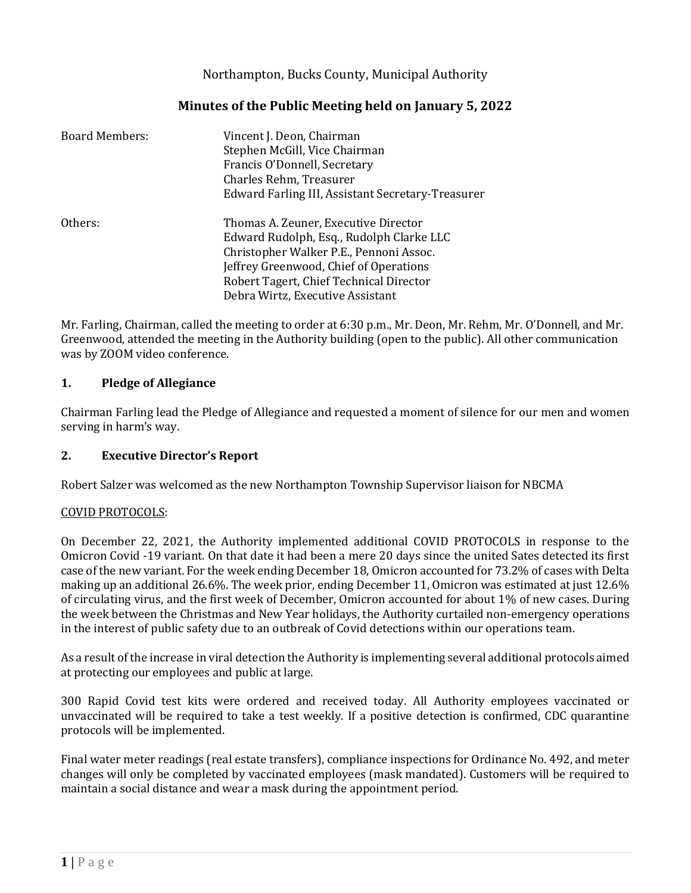## Northampton, Bucks County, Municipal Authority

## **Minutes of the Public Meeting held on January 5, 2022**

| <b>Board Members:</b> | Vincent J. Deon, Chairman<br>Stephen McGill, Vice Chairman<br>Francis O'Donnell, Secretary<br>Charles Rehm, Treasurer<br>Edward Farling III, Assistant Secretary-Treasurer                                                                           |
|-----------------------|------------------------------------------------------------------------------------------------------------------------------------------------------------------------------------------------------------------------------------------------------|
| Others:               | Thomas A. Zeuner, Executive Director<br>Edward Rudolph, Esq., Rudolph Clarke LLC<br>Christopher Walker P.E., Pennoni Assoc.<br>Jeffrey Greenwood, Chief of Operations<br>Robert Tagert, Chief Technical Director<br>Debra Wirtz, Executive Assistant |

Mr. Farling, Chairman, called the meeting to order at 6:30 p.m., Mr. Deon, Mr. Rehm, Mr. O'Donnell, and Mr. Greenwood, attended the meeting in the Authority building (open to the public). All other communication was by ZOOM video conference.

### **1. Pledge of Allegiance**

Chairman Farling lead the Pledge of Allegiance and requested a moment of silence for our men and women serving in harm's way.

## **2. Executive Director's Report**

Robert Salzer was welcomed as the new Northampton Township Supervisor liaison for NBCMA

### COVID PROTOCOLS:

On December 22, 2021, the Authority implemented additional COVID PROTOCOLS in response to the Omicron Covid -19 variant. On that date it had been a mere 20 days since the united Sates detected its first case of the new variant. For the week ending December 18, Omicron accounted for 73.2% of cases with Delta making up an additional 26.6%. The week prior, ending December 11, Omicron was estimated at just 12.6% of circulating virus, and the first week of December, Omicron accounted for about 1% of new cases. During the week between the Christmas and New Year holidays, the Authority curtailed non-emergency operations in the interest of public safety due to an outbreak of Covid detections within our operations team.

As a result of the increase in viral detection the Authority is implementing several additional protocols aimed at protecting our employees and public at large.

300 Rapid Covid test kits were ordered and received today. All Authority employees vaccinated or unvaccinated will be required to take a test weekly. If a positive detection is confirmed, CDC quarantine protocols will be implemented.

Final water meter readings (real estate transfers), compliance inspections for Ordinance No. 492, and meter changes will only be completed by vaccinated employees (mask mandated). Customers will be required to maintain a social distance and wear a mask during the appointment period.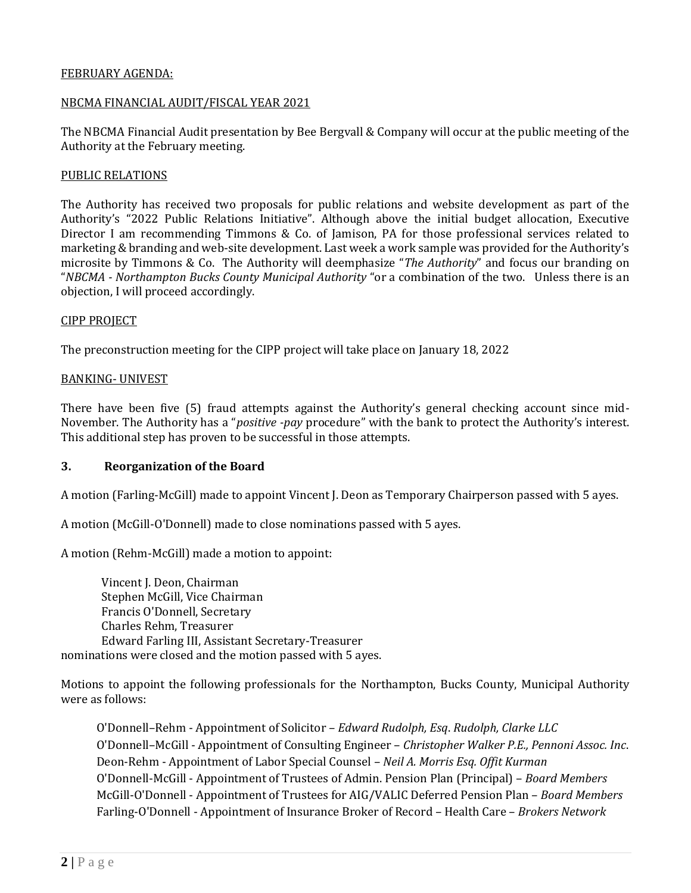### FEBRUARY AGENDA:

### NBCMA FINANCIAL AUDIT/FISCAL YEAR 2021

The NBCMA Financial Audit presentation by Bee Bergvall & Company will occur at the public meeting of the Authority at the February meeting.

### PUBLIC RELATIONS

The Authority has received two proposals for public relations and website development as part of the Authority's "2022 Public Relations Initiative". Although above the initial budget allocation, Executive Director I am recommending Timmons & Co. of Jamison, PA for those professional services related to marketing & branding and web-site development. Last week a work sample was provided for the Authority's microsite by Timmons & Co. The Authority will deemphasize "*The Authority*" and focus our branding on "*NBCMA - Northampton Bucks County Municipal Authority* "or a combination of the two. Unless there is an objection, I will proceed accordingly.

### CIPP PROJECT

The preconstruction meeting for the CIPP project will take place on January 18, 2022

### BANKING- UNIVEST

There have been five (5) fraud attempts against the Authority's general checking account since mid-November. The Authority has a "*positive -pay* procedure" with the bank to protect the Authority's interest. This additional step has proven to be successful in those attempts.

### **3. Reorganization of the Board**

A motion (Farling-McGill) made to appoint Vincent J. Deon as Temporary Chairperson passed with 5 ayes.

A motion (McGill-O'Donnell) made to close nominations passed with 5 ayes.

A motion (Rehm-McGill) made a motion to appoint:

Vincent J. Deon, Chairman Stephen McGill, Vice Chairman Francis O'Donnell, Secretary Charles Rehm, Treasurer Edward Farling III, Assistant Secretary-Treasurer nominations were closed and the motion passed with 5 ayes.

Motions to appoint the following professionals for the Northampton, Bucks County, Municipal Authority were as follows:

O'Donnell–Rehm - Appointment of Solicitor – *Edward Rudolph, Esq*. *Rudolph, Clarke LLC* O'Donnell–McGill - Appointment of Consulting Engineer – *Christopher Walker P.E., Pennoni Assoc. Inc*. Deon-Rehm - Appointment of Labor Special Counsel – *Neil A. Morris Esq. Offit Kurman* O'Donnell-McGill - Appointment of Trustees of Admin. Pension Plan (Principal) – *Board Members* McGill-O'Donnell - Appointment of Trustees for AIG/VALIC Deferred Pension Plan – *Board Members* Farling-O'Donnell - Appointment of Insurance Broker of Record – Health Care – *Brokers Network*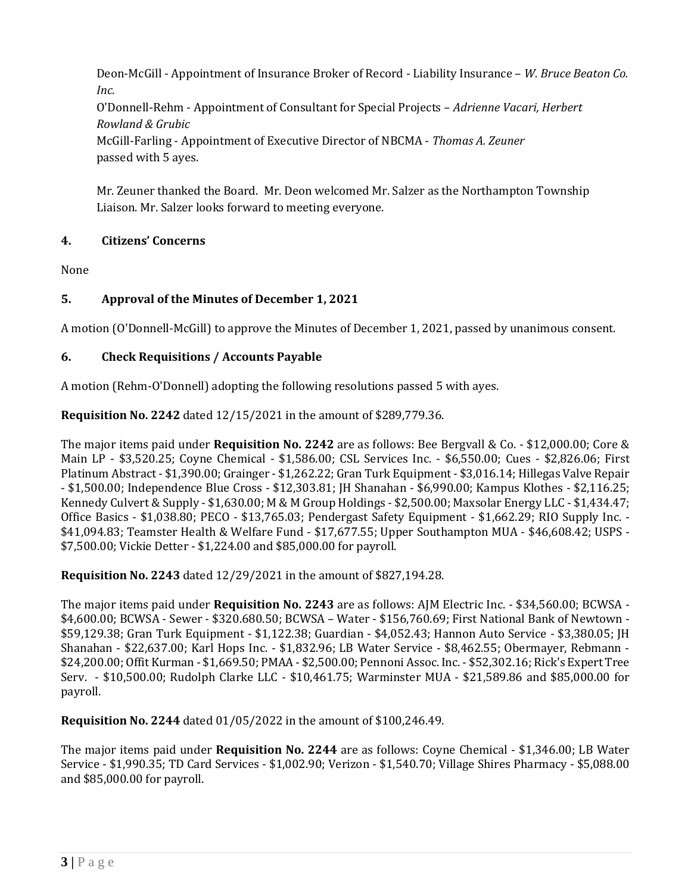Deon-McGill - Appointment of Insurance Broker of Record - Liability Insurance – *W. Bruce Beaton Co. Inc.*

O'Donnell-Rehm - Appointment of Consultant for Special Projects – *Adrienne Vacari, Herbert Rowland & Grubic*

McGill-Farling - Appointment of Executive Director of NBCMA - *Thomas A. Zeuner* passed with 5 ayes.

Mr. Zeuner thanked the Board. Mr. Deon welcomed Mr. Salzer as the Northampton Township Liaison. Mr. Salzer looks forward to meeting everyone.

# **4. Citizens' Concerns**

None

# **5. Approval of the Minutes of December 1, 2021**

A motion (O'Donnell-McGill) to approve the Minutes of December 1, 2021, passed by unanimous consent.

# **6. Check Requisitions / Accounts Payable**

A motion (Rehm-O'Donnell) adopting the following resolutions passed 5 with ayes.

**Requisition No. 2242** dated 12/15/2021 in the amount of \$289,779.36.

The major items paid under **Requisition No. 2242** are as follows: Bee Bergvall & Co. - \$12,000.00; Core & Main LP - \$3,520.25; Coyne Chemical - \$1,586.00; CSL Services Inc. - \$6,550.00; Cues - \$2,826.06; First Platinum Abstract - \$1,390.00; Grainger - \$1,262.22; Gran Turk Equipment - \$3,016.14; Hillegas Valve Repair - \$1,500.00; Independence Blue Cross - \$12,303.81; JH Shanahan - \$6,990.00; Kampus Klothes - \$2,116.25; Kennedy Culvert & Supply - \$1,630.00; M & M Group Holdings - \$2,500.00; Maxsolar Energy LLC - \$1,434.47; Office Basics - \$1,038.80; PECO - \$13,765.03; Pendergast Safety Equipment - \$1,662.29; RIO Supply Inc. - \$41,094.83; Teamster Health & Welfare Fund - \$17,677.55; Upper Southampton MUA - \$46,608.42; USPS - \$7,500.00; Vickie Detter - \$1,224.00 and \$85,000.00 for payroll.

**Requisition No. 2243** dated 12/29/2021 in the amount of \$827,194.28.

The major items paid under **Requisition No. 2243** are as follows: AJM Electric Inc. - \$34,560.00; BCWSA - \$4,600.00; BCWSA - Sewer - \$320.680.50; BCWSA – Water - \$156,760.69; First National Bank of Newtown - \$59,129.38; Gran Turk Equipment - \$1,122.38; Guardian - \$4,052.43; Hannon Auto Service - \$3,380.05; JH Shanahan - \$22,637.00; Karl Hops Inc. - \$1,832.96; LB Water Service - \$8,462.55; Obermayer, Rebmann - \$24,200.00; Offit Kurman - \$1,669.50; PMAA - \$2,500.00; Pennoni Assoc. Inc. - \$52,302.16; Rick's Expert Tree Serv. - \$10,500.00; Rudolph Clarke LLC - \$10,461.75; Warminster MUA - \$21,589.86 and \$85,000.00 for payroll.

**Requisition No. 2244** dated 01/05/2022 in the amount of \$100,246.49.

The major items paid under **Requisition No. 2244** are as follows: Coyne Chemical - \$1,346.00; LB Water Service - \$1,990.35; TD Card Services - \$1,002.90; Verizon - \$1,540.70; Village Shires Pharmacy - \$5,088.00 and \$85,000.00 for payroll.